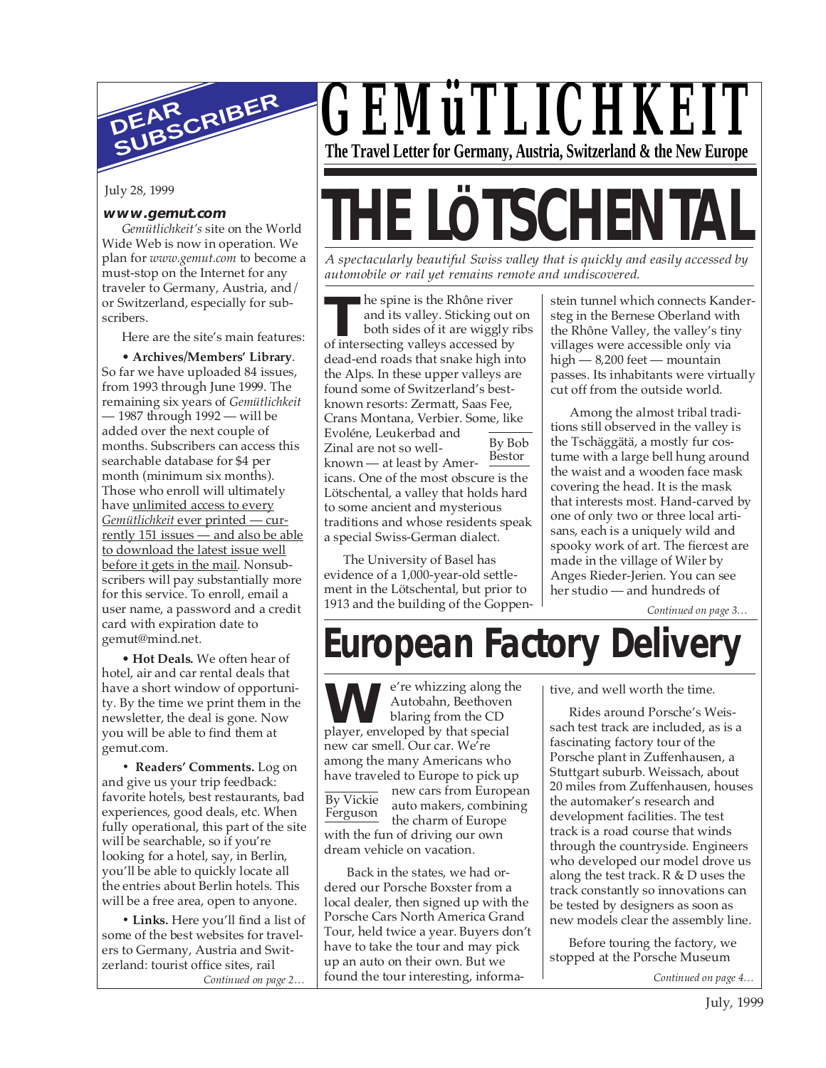

July 28, 1999

#### **www.gemut.com**

*Gemütlichkeit's* site on the World Wide Web is now in operation. We plan for *www.gemut.com* to become a must-stop on the Internet for any traveler to Germany, Austria, and/ or Switzerland, especially for subscribers.

Here are the site's main features:

• **Archives/Members' Library**. So far we have uploaded 84 issues, from 1993 through June 1999. The remaining six years of *Gemütlichkeit* — 1987 through 1992 — will be added over the next couple of months. Subscribers can access this searchable database for \$4 per month (minimum six months). Those who enroll will ultimately have unlimited access to every *Gemütlichkeit* ever printed — currently 151 issues — and also be able to download the latest issue well before it gets in the mail. Nonsubscribers will pay substantially more for this service. To enroll, email a user name, a password and a credit card with expiration date to gemut@mind.net.

• **Hot Deals.** We often hear of hotel, air and car rental deals that have a short window of opportunity. By the time we print them in the newsletter, the deal is gone. Now you will be able to find them at gemut.com.

**• Readers' Comments.** Log on and give us your trip feedback: favorite hotels, best restaurants, bad experiences, good deals, etc. When fully operational, this part of the site will be searchable, so if you're looking for a hotel, say, in Berlin, you'll be able to quickly locate all the entries about Berlin hotels. This will be a free area, open to anyone.

*Continued on page 2…* **• Links.** Here you'll find a list of some of the best websites for travelers to Germany, Austria and Switzerland: tourist office sites, rail

*GEMüTLICHKEIT* **The Travel Letter for Germany, Austria, Switzerland & the New Europe**

# **THE LÖTSCHENTA**

*A spectacularly beautiful Swiss valley that is quickly and easily accessed by automobile or rail yet remains remote and undiscovered.*

he spine is the Rhône river and its valley. Sticking out on both sides of it are wiggly ribs **IDENTIFY ISSUES ANSAYED INCOCENT AND ARRY ISSUED TO SET USE OF 11 AND SO SET USE OF 11 AND SO SET USES A THEORY ISSUED AS A SET USE OF 11 AND SET USE AND SET USE A SET USE OF 12 AND SET USE OF 12 AND SET USE A SET USE OF** dead-end roads that snake high into the Alps. In these upper valleys are found some of Switzerland's bestknown resorts: Zermatt, Saas Fee, Crans Montana, Verbier. Some, like Evoléne, Leukerbad and Zinal are not so wellknown — at least by Americans. One of the most obscure is the Lötschental, a valley that holds hard to some ancient and mysterious traditions and whose residents speak a special Swiss-German dialect. By Bob Bestor

The University of Basel has evidence of a 1,000-year-old settlement in the Lötschental, but prior to 1913 and the building of the Goppenstein tunnel which connects Kandersteg in the Bernese Oberland with the Rhône Valley, the valley's tiny villages were accessible only via high — 8,200 feet — mountain passes. Its inhabitants were virtually cut off from the outside world.

Among the almost tribal traditions still observed in the valley is the Tschäggätä, a mostly fur costume with a large bell hung around the waist and a wooden face mask covering the head. It is the mask that interests most. Hand-carved by one of only two or three local artisans, each is a uniquely wild and spooky work of art. The fiercest are made in the village of Wiler by Anges Rieder-Jerien. You can see her studio — and hundreds of

*Continued on page 3…*

# **European Factory Delivery**

e're whizzing along the Autobahn, Beethoven blaring from the CD **W** e<sup>r</sup>e whizzing along the Autobahn, Beethover blaring from the CD player, enveloped by that special new car smell. Our car. We're among the many Americans who have traveled to Europe to pick up new cars from European auto makers, combining the charm of Europe By Vickie Ferguson

with the fun of driving our own dream vehicle on vacation.

 Back in the states, we had ordered our Porsche Boxster from a local dealer, then signed up with the Porsche Cars North America Grand Tour, held twice a year. Buyers don't have to take the tour and may pick up an auto on their own. But we found the tour interesting, informative, and well worth the time.

Rides around Porsche's Weissach test track are included, as is a fascinating factory tour of the Porsche plant in Zuffenhausen, a Stuttgart suburb. Weissach, about 20 miles from Zuffenhausen, houses the automaker's research and development facilities. The test track is a road course that winds through the countryside. Engineers who developed our model drove us along the test track. R & D uses the track constantly so innovations can be tested by designers as soon as new models clear the assembly line.

Before touring the factory, we stopped at the Porsche Museum

*Continued on page 4…*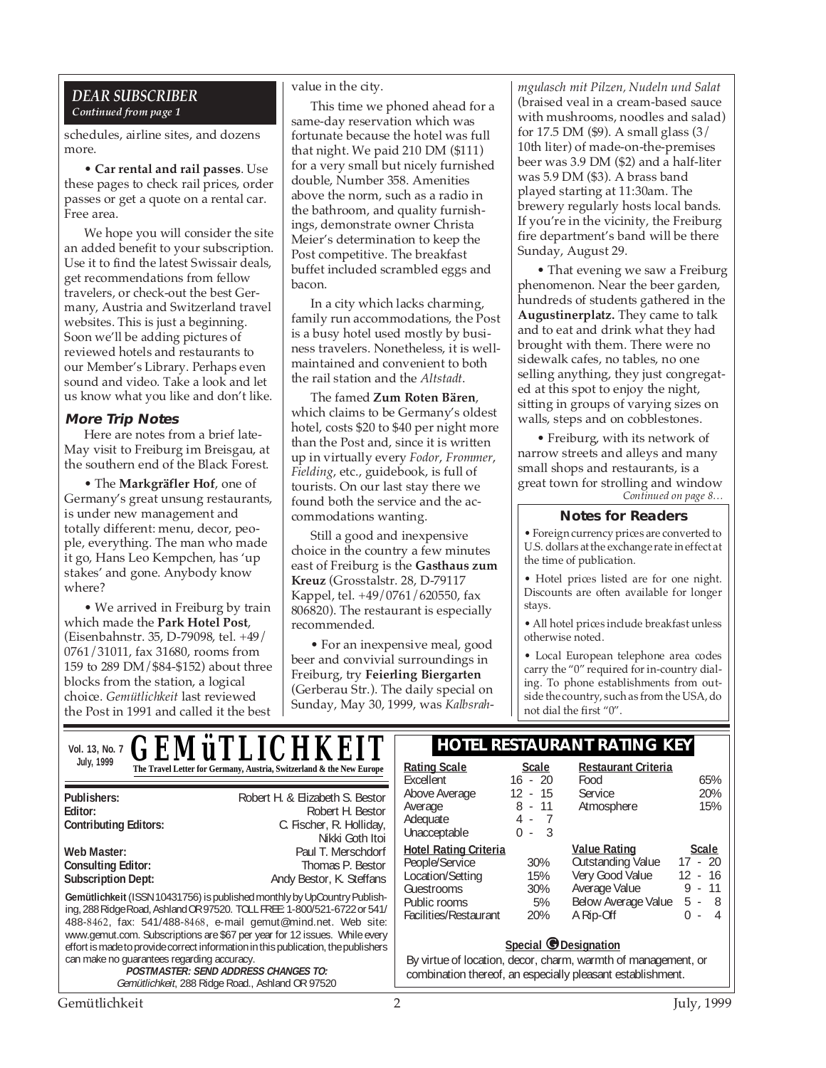#### *DEAR SUBSCRIBER Continued from page 1*

schedules, airline sites, and dozens more.

• **Car rental and rail passes**. Use these pages to check rail prices, order passes or get a quote on a rental car. Free area.

We hope you will consider the site an added benefit to your subscription. Use it to find the latest Swissair deals, get recommendations from fellow travelers, or check-out the best Germany, Austria and Switzerland travel websites. This is just a beginning. Soon we'll be adding pictures of reviewed hotels and restaurants to our Member's Library. Perhaps even sound and video. Take a look and let us know what you like and don't like.

#### **More Trip Notes**

Here are notes from a brief late-May visit to Freiburg im Breisgau, at the southern end of the Black Forest.

• The **Markgräfler Hof**, one of Germany's great unsung restaurants, is under new management and totally different: menu, decor, people, everything. The man who made it go, Hans Leo Kempchen, has 'up stakes' and gone. Anybody know where?

• We arrived in Freiburg by train which made the **Park Hotel Post**, (Eisenbahnstr. 35, D-79098, tel. +49/ 0761/31011, fax 31680, rooms from 159 to 289 DM/\$84-\$152) about three blocks from the station, a logical choice. *Gemütlichkeit* last reviewed the Post in 1991 and called it the best

#### value in the city.

This time we phoned ahead for a same-day reservation which was fortunate because the hotel was full that night. We paid 210 DM (\$111) for a very small but nicely furnished double, Number 358. Amenities above the norm, such as a radio in the bathroom, and quality furnishings, demonstrate owner Christa Meier's determination to keep the Post competitive. The breakfast buffet included scrambled eggs and bacon.

In a city which lacks charming, family run accommodations, the Post is a busy hotel used mostly by business travelers. Nonetheless, it is wellmaintained and convenient to both the rail station and the *Altstadt*.

The famed **Zum Roten Bären**, which claims to be Germany's oldest hotel, costs \$20 to \$40 per night more than the Post and, since it is written up in virtually every *Fodor*, *Frommer*, *Fielding*, etc., guidebook, is full of tourists. On our last stay there we found both the service and the accommodations wanting.

Still a good and inexpensive choice in the country a few minutes east of Freiburg is the **Gasthaus zum Kreuz** (Grosstalstr. 28, D-79117 Kappel, tel. +49/0761/620550, fax 806820). The restaurant is especially recommended.

• For an inexpensive meal, good beer and convivial surroundings in Freiburg, try **Feierling Biergarten** (Gerberau Str.). The daily special on Sunday, May 30, 1999, was *Kalbsrah-* *mgulasch mit Pilzen, Nudeln und Salat* (braised veal in a cream-based sauce with mushrooms, noodles and salad) for 17.5 DM (\$9). A small glass (3/ 10th liter) of made-on-the-premises beer was 3.9 DM (\$2) and a half-liter was 5.9 DM (\$3). A brass band played starting at 11:30am. The brewery regularly hosts local bands. If you're in the vicinity, the Freiburg fire department's band will be there Sunday, August 29.

• That evening we saw a Freiburg phenomenon. Near the beer garden, hundreds of students gathered in the **Augustinerplatz.** They came to talk and to eat and drink what they had brought with them. There were no sidewalk cafes, no tables, no one selling anything, they just congregated at this spot to enjoy the night, sitting in groups of varying sizes on walls, steps and on cobblestones.

*Continued on page 8…* • Freiburg, with its network of narrow streets and alleys and many small shops and restaurants, is a great town for strolling and window

#### **Notes for Readers**

• Foreign currency prices are converted to U.S. dollars at the exchange rate in effect at the time of publication.

• Hotel prices listed are for one night. Discounts are often available for longer stays.

• All hotel prices include breakfast unless otherwise noted.

• Local European telephone area codes carry the "0" required for in-country dialing. To phone establishments from outside the country, such as from the USA, do not dial the first "0".

| Vol. 13, No. 7                                                                                                                                                                                                                                                                                                                                                                                                                                                                                                                           | <b>GEMÜTLICHKEIT</b>                                                                               |                                                                                                                                                     |                                                     | <b>HOTEL RESTAURANT RATING KEY</b>                          |                                                  |
|------------------------------------------------------------------------------------------------------------------------------------------------------------------------------------------------------------------------------------------------------------------------------------------------------------------------------------------------------------------------------------------------------------------------------------------------------------------------------------------------------------------------------------------|----------------------------------------------------------------------------------------------------|-----------------------------------------------------------------------------------------------------------------------------------------------------|-----------------------------------------------------|-------------------------------------------------------------|--------------------------------------------------|
| July, 1999                                                                                                                                                                                                                                                                                                                                                                                                                                                                                                                               | The Travel Letter for Germany, Austria, Switzerland & the New Europe                               | <b>Rating Scale</b><br>Excellent                                                                                                                    | Scale<br>$16 - 20$                                  | <b>Restaurant Criteria</b><br>Food                          | 65%                                              |
| Publishers:<br>Editor:<br><b>Contributing Editors:</b>                                                                                                                                                                                                                                                                                                                                                                                                                                                                                   | Robert H. & Elizabeth S. Bestor<br>Robert H. Bestor<br>C. Fischer, R. Holliday,<br>Nikki Goth Itoi | Above Average<br>Average<br>Adequate<br>Unacceptable                                                                                                | 12<br>$-15$<br>$8 - 11$<br>-3<br>$\Omega$<br>$\sim$ | Service<br>Atmosphere                                       | 20%<br>15%                                       |
| Web Master:<br><b>Consulting Editor:</b><br><b>Subscription Dept:</b>                                                                                                                                                                                                                                                                                                                                                                                                                                                                    | Paul T. Merschdorf<br>Thomas P. Bestor<br>Andy Bestor, K. Steffans                                 | <b>Hotel Rating Criteria</b><br>People/Service<br>Location/Setting                                                                                  | 30%<br>15%                                          | <b>Value Rating</b><br>Outstanding Value<br>Very Good Value | <b>Scale</b><br>$17 - 20$<br>12 - 16             |
| Gemütlichkeit (ISSN 10431756) is published monthly by UpCountry Publish-<br>ing, 288 Ridge Road, Ashland OR 97520. TOLL FREE: 1-800/521-6722 or 541/<br>488-8462, fax: 541/488-8468, e-mail gemut@mind.net. Web site:<br>www.gemut.com. Subscriptions are \$67 per year for 12 issues. While every<br>effort is made to provide correct information in this publication, the publishers<br>can make no guarantees regarding accuracy.<br><b>POSTMASTER: SEND ADDRESS CHANGES TO:</b><br>Gemütlichkeit, 288 Ridge Road., Ashland OR 97520 |                                                                                                    | Guestrooms<br>Public rooms<br>Facilities/Restaurant                                                                                                 | 30%<br>5%<br>20%                                    | Average Value<br>Below Average Value<br>A Rip-Off           | 11<br>9<br>$\sim$<br>$5 - 8$<br>0<br>4<br>$\sim$ |
|                                                                                                                                                                                                                                                                                                                                                                                                                                                                                                                                          |                                                                                                    | Special @Designation<br>By virtue of location, decor, charm, warmth of management, or<br>combination thereof, an especially pleasant establishment. |                                                     |                                                             |                                                  |
| Gemütlichkeit<br>July, 1999                                                                                                                                                                                                                                                                                                                                                                                                                                                                                                              |                                                                                                    |                                                                                                                                                     |                                                     |                                                             |                                                  |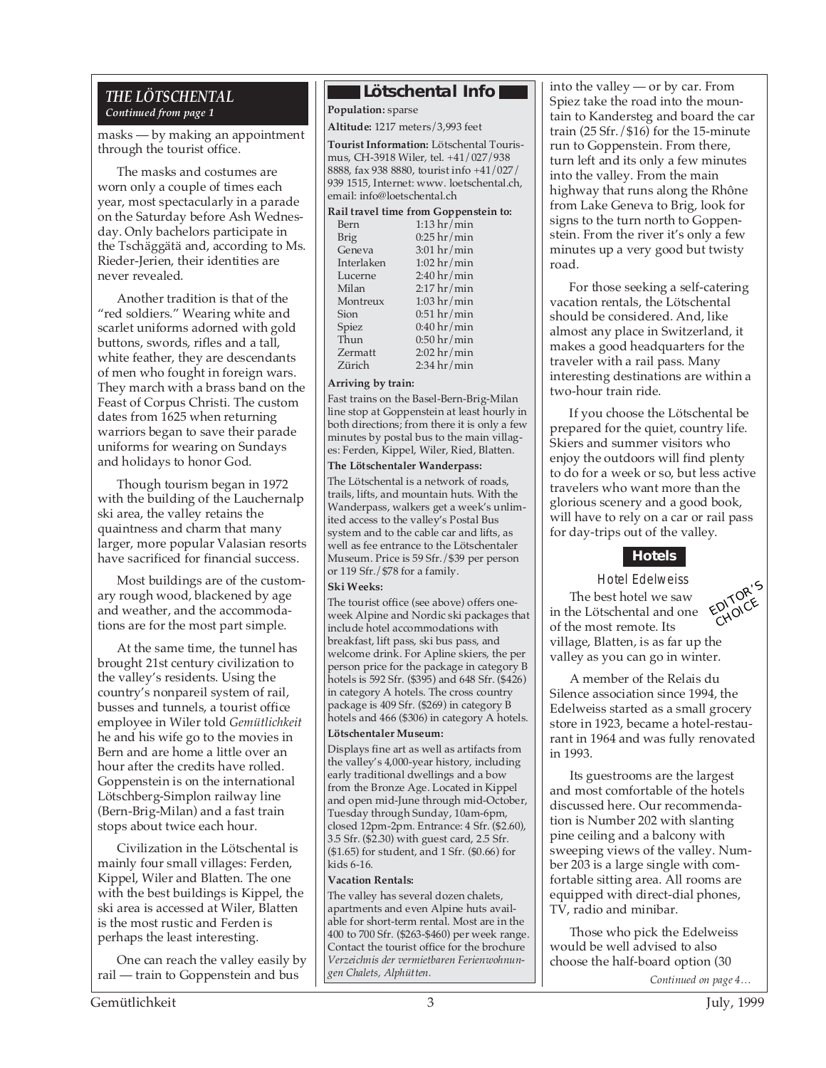#### *THE LÖTSCHENTAL Continued from page 1*

masks — by making an appointment through the tourist office.

The masks and costumes are worn only a couple of times each year, most spectacularly in a parade on the Saturday before Ash Wednesday. Only bachelors participate in the Tschäggätä and, according to Ms. Rieder-Jerien, their identities are never revealed.

Another tradition is that of the "red soldiers." Wearing white and scarlet uniforms adorned with gold buttons, swords, rifles and a tall, white feather, they are descendants of men who fought in foreign wars. They march with a brass band on the Feast of Corpus Christi. The custom dates from 1625 when returning warriors began to save their parade uniforms for wearing on Sundays and holidays to honor God.

Though tourism began in 1972 with the building of the Lauchernalp ski area, the valley retains the quaintness and charm that many larger, more popular Valasian resorts have sacrificed for financial success.

Most buildings are of the customary rough wood, blackened by age and weather, and the accommodations are for the most part simple.

At the same time, the tunnel has brought 21st century civilization to the valley's residents. Using the country's nonpareil system of rail, busses and tunnels, a tourist office employee in Wiler told *Gemütlichkeit* he and his wife go to the movies in Bern and are home a little over an hour after the credits have rolled. Goppenstein is on the international Lötschberg-Simplon railway line (Bern-Brig-Milan) and a fast train stops about twice each hour.

Civilization in the Lötschental is mainly four small villages: Ferden, Kippel, Wiler and Blatten. The one with the best buildings is Kippel, the ski area is accessed at Wiler, Blatten is the most rustic and Ferden is perhaps the least interesting.

One can reach the valley easily by rail — train to Goppenstein and bus

#### **Lötschental Info**

**Population:** sparse

**Altitude:** 1217 meters/3,993 feet

**Tourist Information:** Lötschental Tourismus, CH-3918 Wiler, tel. +41/027/938 8888, fax 938 8880, tourist info +41/027/ 939 1515, Internet: www. loetschental.ch, email: info@loetschental.ch

#### **Rail travel time from Goppenstein to:**

| Bern           | $1:13$ hr/min         |
|----------------|-----------------------|
| <b>Brig</b>    | $0:25$ hr/min         |
| Geneva         | $3:01$ hr/min         |
| Interlaken     | $1:02$ hr/min         |
| Lucerne        | $2:40 \text{ hr/min}$ |
| Milan          | $2:17$ hr/min         |
| Montreux       | $1:03$ hr/min         |
| Sion           | $0:51$ hr/min         |
| Spiez          | $0:40\ hr/min$        |
| Thun           | $0:50$ hr/min         |
| <b>Zermatt</b> | $2:02$ hr/min         |
| Zürich         | $2:34$ hr/min         |

#### **Arriving by train:**

Fast trains on the Basel-Bern-Brig-Milan line stop at Goppenstein at least hourly in both directions; from there it is only a few minutes by postal bus to the main villages: Ferden, Kippel, Wiler, Ried, Blatten.

#### **The Lötschentaler Wanderpass:**

The Lötschental is a network of roads, trails, lifts, and mountain huts. With the Wanderpass, walkers get a week's unlimited access to the valley's Postal Bus system and to the cable car and lifts, as well as fee entrance to the Lötschentaler Museum. Price is 59 Sfr./\$39 per person or 119 Sfr./\$78 for a family.

#### **Ski Weeks:**

The tourist office (see above) offers oneweek Alpine and Nordic ski packages that include hotel accommodations with breakfast, lift pass, ski bus pass, and welcome drink. For Apline skiers, the per person price for the package in category B hotels is 592 Sfr. (\$395) and 648 Sfr. (\$426) in category A hotels. The cross country package is 409 Sfr. (\$269) in category B hotels and 466 (\$306) in category A hotels.

#### **Lötschentaler Museum:**

Displays fine art as well as artifacts from the valley's 4,000-year history, including early traditional dwellings and a bow from the Bronze Age. Located in Kippel and open mid-June through mid-October, Tuesday through Sunday, 10am-6pm, closed 12pm-2pm. Entrance: 4 Sfr. (\$2.60), 3.5 Sfr. (\$2.30) with guest card, 2.5 Sfr. (\$1.65) for student, and 1 Sfr. (\$0.66) for kids 6-16.

#### **Vacation Rentals:**

The valley has several dozen chalets, apartments and even Alpine huts available for short-term rental. Most are in the 400 to 700 Sfr. (\$263-\$460) per week range. Contact the tourist office for the brochure *Verzeichnis der vermietbaren Ferienwohnungen Chalets, Alphütten.*

into the valley — or by car. From Spiez take the road into the mountain to Kandersteg and board the car train (25 Sfr./\$16) for the 15-minute run to Goppenstein. From there, turn left and its only a few minutes into the valley. From the main highway that runs along the Rhône from Lake Geneva to Brig, look for signs to the turn north to Goppenstein. From the river it's only a few minutes up a very good but twisty road.

For those seeking a self-catering vacation rentals, the Lötschental should be considered. And, like almost any place in Switzerland, it makes a good headquarters for the traveler with a rail pass. Many interesting destinations are within a two-hour train ride.

If you choose the Lötschental be prepared for the quiet, country life. Skiers and summer visitors who enjoy the outdoors will find plenty to do for a week or so, but less active travelers who want more than the glorious scenery and a good book, will have to rely on a car or rail pass for day-trips out of the valley.

#### **Hotels**

EDITOR'<sup>S</sup> CHOICE Hotel Edelweiss The best hotel we saw in the Lötschental and one of the most remote. Its village, Blatten, is as far up the valley as you can go in winter.

A member of the Relais du Silence association since 1994, the Edelweiss started as a small grocery store in 1923, became a hotel-restaurant in 1964 and was fully renovated in 1993.

Its guestrooms are the largest and most comfortable of the hotels discussed here. Our recommendation is Number 202 with slanting pine ceiling and a balcony with sweeping views of the valley. Number 203 is a large single with comfortable sitting area. All rooms are equipped with direct-dial phones, TV, radio and minibar.

Those who pick the Edelweiss would be well advised to also choose the half-board option (30

*Continued on page 4…*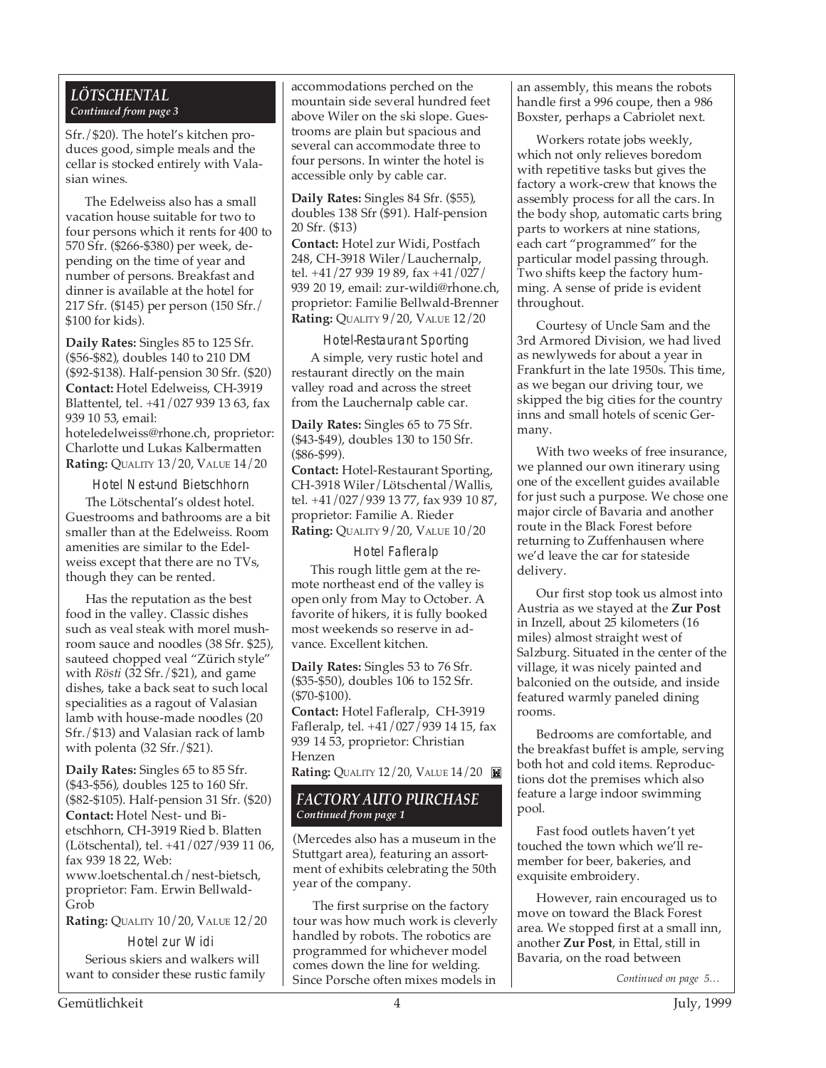#### *LÖTSCHENTAL Continued from page 3*

Sfr./\$20). The hotel's kitchen produces good, simple meals and the cellar is stocked entirely with Valasian wines.

The Edelweiss also has a small vacation house suitable for two to four persons which it rents for 400 to 570 Sfr. (\$266-\$380) per week, depending on the time of year and number of persons. Breakfast and dinner is available at the hotel for 217 Sfr. (\$145) per person (150 Sfr./ \$100 for kids).

**Daily Rates:** Singles 85 to 125 Sfr. (\$56-\$82), doubles 140 to 210 DM (\$92-\$138). Half-pension 30 Sfr. (\$20) **Contact:** Hotel Edelweiss, CH-3919 Blattentel, tel. +41/027 939 13 63, fax 939 10 53, email: hoteledelweiss@rhone.ch, proprietor: Charlotte und Lukas Kalbermatten **Rating:** QUALITY 13/20, VALUE 14/20

Hotel Nest-und Bietschhorn

The Lötschental's oldest hotel. Guestrooms and bathrooms are a bit smaller than at the Edelweiss. Room amenities are similar to the Edelweiss except that there are no TVs, though they can be rented.

Has the reputation as the best food in the valley. Classic dishes such as veal steak with morel mushroom sauce and noodles (38 Sfr. \$25), sauteed chopped veal "Zürich style" with *Rösti* (32 Sfr./\$21), and game dishes, take a back seat to such local specialities as a ragout of Valasian lamb with house-made noodles (20 Sfr./\$13) and Valasian rack of lamb with polenta (32 Sfr./\$21).

**Daily Rates:** Singles 65 to 85 Sfr. (\$43-\$56), doubles 125 to 160 Sfr. (\$82-\$105). Half-pension 31 Sfr. (\$20) **Contact:** Hotel Nest- und Bietschhorn, CH-3919 Ried b. Blatten (Lötschental), tel. +41/027/939 11 06, fax 939 18 22, Web: www.loetschental.ch/nest-bietsch, proprietor: Fam. Erwin Bellwald-Grob

**Rating:** QUALITY 10/20, VALUE 12/20

Hotel zur Widi Serious skiers and walkers will want to consider these rustic family accommodations perched on the mountain side several hundred feet above Wiler on the ski slope. Guestrooms are plain but spacious and several can accommodate three to four persons. In winter the hotel is accessible only by cable car.

**Daily Rates:** Singles 84 Sfr. (\$55), doubles 138 Sfr (\$91). Half-pension 20 Sfr. (\$13)

**Contact:** Hotel zur Widi, Postfach 248, CH-3918 Wiler/Lauchernalp, tel. +41/27 939 19 89, fax +41/027/ 939 20 19, email: zur-wildi@rhone.ch, proprietor: Familie Bellwald-Brenner **Rating:** QUALITY 9/20, VALUE 12/20

Hotel-Restaurant Sporting

A simple, very rustic hotel and restaurant directly on the main valley road and across the street from the Lauchernalp cable car.

**Daily Rates:** Singles 65 to 75 Sfr. (\$43-\$49), doubles 130 to 150 Sfr. (\$86-\$99).

**Contact:** Hotel-Restaurant Sporting, CH-3918 Wiler/Lötschental/Wallis, tel. +41/027/939 13 77, fax 939 10 87, proprietor: Familie A. Rieder **Rating:** QUALITY 9/20, VALUE 10/20

Hotel Fafleralp

This rough little gem at the remote northeast end of the valley is open only from May to October. A favorite of hikers, it is fully booked most weekends so reserve in advance. Excellent kitchen.

**Daily Rates:** Singles 53 to 76 Sfr. (\$35-\$50), doubles 106 to 152 Sfr. (\$70-\$100).

**Contact:** Hotel Fafleralp, CH-3919 Fafleralp, tel. +41/027/939 14 15, fax 939 14 53, proprietor: Christian Henzen

**Rating: QUALITY 12/20, VALUE 14/20** 

#### *FACTORY AUTO PURCHASE Continued from page 1*

(Mercedes also has a museum in the Stuttgart area), featuring an assortment of exhibits celebrating the 50th year of the company.

The first surprise on the factory tour was how much work is cleverly handled by robots. The robotics are programmed for whichever model comes down the line for welding. Since Porsche often mixes models in

an assembly, this means the robots handle first a 996 coupe, then a 986 Boxster, perhaps a Cabriolet next.

Workers rotate jobs weekly, which not only relieves boredom with repetitive tasks but gives the factory a work-crew that knows the assembly process for all the cars. In the body shop, automatic carts bring parts to workers at nine stations, each cart "programmed" for the particular model passing through. Two shifts keep the factory humming. A sense of pride is evident throughout.

Courtesy of Uncle Sam and the 3rd Armored Division, we had lived as newlyweds for about a year in Frankfurt in the late 1950s. This time, as we began our driving tour, we skipped the big cities for the country inns and small hotels of scenic Germany.

With two weeks of free insurance, we planned our own itinerary using one of the excellent guides available for just such a purpose. We chose one major circle of Bavaria and another route in the Black Forest before returning to Zuffenhausen where we'd leave the car for stateside delivery.

Our first stop took us almost into Austria as we stayed at the **Zur Post** in Inzell, about 25 kilometers (16 miles) almost straight west of Salzburg. Situated in the center of the village, it was nicely painted and balconied on the outside, and inside featured warmly paneled dining rooms.

Bedrooms are comfortable, and the breakfast buffet is ample, serving both hot and cold items. Reproductions dot the premises which also feature a large indoor swimming pool.

Fast food outlets haven't yet touched the town which we'll remember for beer, bakeries, and exquisite embroidery.

However, rain encouraged us to move on toward the Black Forest area. We stopped first at a small inn, another **Zur Post**, in Ettal, still in Bavaria, on the road between

*Continued on page 5…*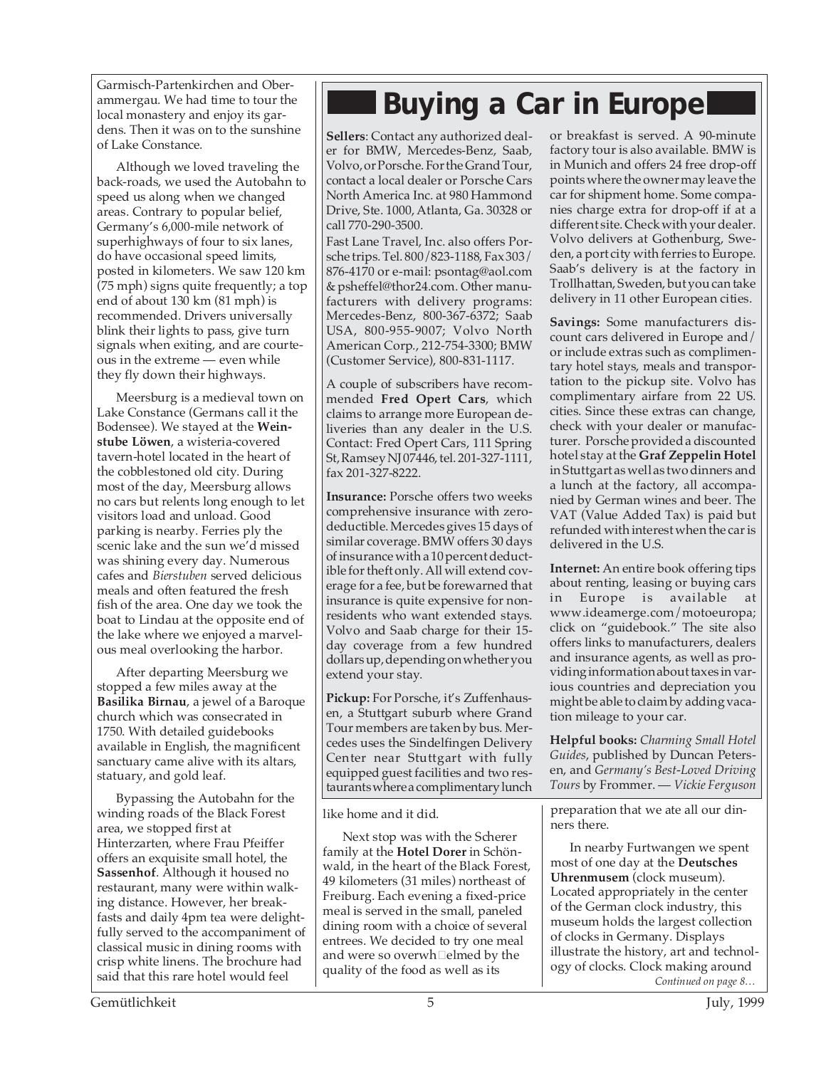Garmisch-Partenkirchen and Oberammergau. We had time to tour the local monastery and enjoy its gardens. Then it was on to the sunshine of Lake Constance.

Although we loved traveling the back-roads, we used the Autobahn to speed us along when we changed areas. Contrary to popular belief, Germany's 6,000-mile network of superhighways of four to six lanes, do have occasional speed limits, posted in kilometers. We saw 120 km (75 mph) signs quite frequently; a top end of about 130 km (81 mph) is recommended. Drivers universally blink their lights to pass, give turn signals when exiting, and are courteous in the extreme — even while they fly down their highways.

Meersburg is a medieval town on Lake Constance (Germans call it the Bodensee). We stayed at the **Weinstube Löwen**, a wisteria-covered tavern-hotel located in the heart of the cobblestoned old city. During most of the day, Meersburg allows no cars but relents long enough to let visitors load and unload. Good parking is nearby. Ferries ply the scenic lake and the sun we'd missed was shining every day. Numerous cafes and *Bierstuben* served delicious meals and often featured the fresh fish of the area. One day we took the boat to Lindau at the opposite end of the lake where we enjoyed a marvelous meal overlooking the harbor.

After departing Meersburg we stopped a few miles away at the **Basilika Birnau**, a jewel of a Baroque church which was consecrated in 1750. With detailed guidebooks available in English, the magnificent sanctuary came alive with its altars, statuary, and gold leaf.

Bypassing the Autobahn for the winding roads of the Black Forest area, we stopped first at Hinterzarten, where Frau Pfeiffer offers an exquisite small hotel, the **Sassenhof**. Although it housed no restaurant, many were within walking distance. However, her breakfasts and daily 4pm tea were delightfully served to the accompaniment of classical music in dining rooms with crisp white linens. The brochure had said that this rare hotel would feel

## **Buying a Car in Europe**

**Sellers**: Contact any authorized dealer for BMW, Mercedes-Benz, Saab, Volvo, or Porsche. For the Grand Tour, contact a local dealer or Porsche Cars North America Inc. at 980 Hammond Drive, Ste. 1000, Atlanta, Ga. 30328 or call 770-290-3500.

Fast Lane Travel, Inc. also offers Porsche trips. Tel. 800/823-1188, Fax 303/ 876-4170 or e-mail: psontag@aol.com & psheffel@thor24.com. Other manufacturers with delivery programs: Mercedes-Benz, 800-367-6372; Saab USA, 800-955-9007; Volvo North American Corp., 212-754-3300; BMW (Customer Service), 800-831-1117.

A couple of subscribers have recommended **Fred Opert Cars**, which claims to arrange more European deliveries than any dealer in the U.S. Contact: Fred Opert Cars, 111 Spring St, Ramsey NJ 07446, tel. 201-327-1111, fax 201-327-8222.

**Insurance:** Porsche offers two weeks comprehensive insurance with zerodeductible. Mercedes gives 15 days of similar coverage. BMW offers 30 days of insurance with a 10 percent deductible for theft only. All will extend coverage for a fee, but be forewarned that insurance is quite expensive for nonresidents who want extended stays. Volvo and Saab charge for their 15 day coverage from a few hundred dollars up, depending on whether you extend your stay.

**Pickup:** For Porsche, it's Zuffenhausen, a Stuttgart suburb where Grand Tour members are taken by bus. Mercedes uses the Sindelfingen Delivery Center near Stuttgart with fully equipped guest facilities and two restaurants where a complimentary lunch

like home and it did.

Next stop was with the Scherer family at the **Hotel Dorer** in Schönwald, in the heart of the Black Forest, 49 kilometers (31 miles) northeast of Freiburg. Each evening a fixed-price meal is served in the small, paneled dining room with a choice of several entrees. We decided to try one meal and were so overwh $\Box$ elmed by the quality of the food as well as its

or breakfast is served. A 90-minute factory tour is also available. BMW is in Munich and offers 24 free drop-off points where the owner may leave the car for shipment home. Some companies charge extra for drop-off if at a different site. Check with your dealer. Volvo delivers at Gothenburg, Sweden, a port city with ferries to Europe. Saab's delivery is at the factory in Trollhattan, Sweden, but you can take delivery in 11 other European cities.

**Savings:** Some manufacturers discount cars delivered in Europe and/ or include extras such as complimentary hotel stays, meals and transportation to the pickup site. Volvo has complimentary airfare from 22 US. cities. Since these extras can change, check with your dealer or manufacturer. Porsche provided a discounted hotel stay at the **Graf Zeppelin Hotel** in Stuttgart as well as two dinners and a lunch at the factory, all accompanied by German wines and beer. The VAT (Value Added Tax) is paid but refunded with interest when the car is delivered in the U.S.

**Internet:** An entire book offering tips about renting, leasing or buying cars<br>in Europe is available at in Europe is available at www.ideamerge.com/motoeuropa; click on "guidebook." The site also offers links to manufacturers, dealers and insurance agents, as well as providing information about taxes in various countries and depreciation you might be able to claim by adding vacation mileage to your car.

**Helpful books:** *Charming Small Hotel Guides*, published by Duncan Petersen, and *Germany's Best-Loved Driving Tours* by Frommer. — *Vickie Ferguson*

preparation that we ate all our dinners there.

*Continued on page 8…* In nearby Furtwangen we spent most of one day at the **Deutsches Uhrenmusem** (clock museum). Located appropriately in the center of the German clock industry, this museum holds the largest collection of clocks in Germany. Displays illustrate the history, art and technology of clocks. Clock making around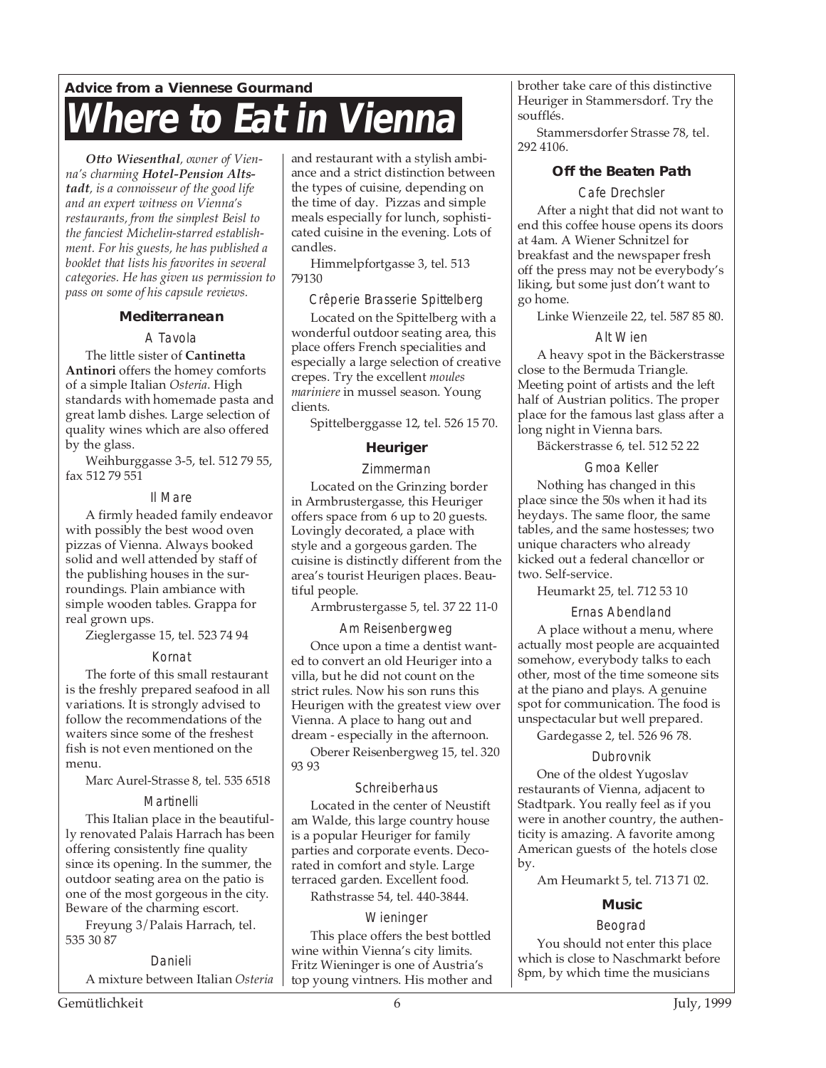### **Advice from a Viennese Gourmand There to Eat in Vienna**

*Otto Wiesenthal, owner of Vienna's charming Hotel-Pension Altstadt, is a connoisseur of the good life and an expert witness on Vienna's restaurants, from the simplest Beisl to the fanciest Michelin-starred establishment. For his guests, he has published a booklet that lists his favorites in several categories. He has given us permission to pass on some of his capsule reviews.*

#### **Mediterranean**

#### A Tavola

The little sister of **Cantinetta Antinori** offers the homey comforts of a simple Italian *Osteria*. High standards with homemade pasta and great lamb dishes. Large selection of quality wines which are also offered by the glass.

Weihburggasse 3-5, tel. 512 79 55, fax 512 79 551

#### Il Mare

A firmly headed family endeavor with possibly the best wood oven pizzas of Vienna. Always booked solid and well attended by staff of the publishing houses in the surroundings. Plain ambiance with simple wooden tables. Grappa for real grown ups.

Zieglergasse 15, tel. 523 74 94

#### Kornat

The forte of this small restaurant is the freshly prepared seafood in all variations. It is strongly advised to follow the recommendations of the waiters since some of the freshest fish is not even mentioned on the menu.

Marc Aurel-Strasse 8, tel. 535 6518

#### Martinelli

This Italian place in the beautifully renovated Palais Harrach has been offering consistently fine quality since its opening. In the summer, the outdoor seating area on the patio is one of the most gorgeous in the city. Beware of the charming escort.

Freyung 3/Palais Harrach, tel. 535 30 87

#### Danieli

A mixture between Italian *Osteria*

and restaurant with a stylish ambiance and a strict distinction between the types of cuisine, depending on the time of day. Pizzas and simple meals especially for lunch, sophisticated cuisine in the evening. Lots of candles.

Himmelpfortgasse 3, tel. 513 79130

#### Crêperie Brasserie Spittelberg Located on the Spittelberg with a wonderful outdoor seating area, this

place offers French specialities and especially a large selection of creative crepes. Try the excellent *moules mariniere* in mussel season. Young clients.

Spittelberggasse 12, tel. 526 15 70.

#### **Heuriger**

Zimmerman

Located on the Grinzing border in Armbrustergasse, this Heuriger offers space from 6 up to 20 guests. Lovingly decorated, a place with style and a gorgeous garden. The cuisine is distinctly different from the area's tourist Heurigen places. Beautiful people.

Armbrustergasse 5, tel. 37 22 11-0

#### Am Reisenbergweg

Once upon a time a dentist wanted to convert an old Heuriger into a villa, but he did not count on the strict rules. Now his son runs this Heurigen with the greatest view over Vienna. A place to hang out and dream - especially in the afternoon.

Oberer Reisenbergweg 15, tel. 320 93 93

#### **Schreiberhaus**

Located in the center of Neustift am Walde, this large country house is a popular Heuriger for family parties and corporate events. Decorated in comfort and style. Large terraced garden. Excellent food.

Rathstrasse 54, tel. 440-3844.

#### **Wieninger**

This place offers the best bottled wine within Vienna's city limits. Fritz Wieninger is one of Austria's top young vintners. His mother and brother take care of this distinctive Heuriger in Stammersdorf. Try the soufflés.

Stammersdorfer Strasse 78, tel. 292 4106.

#### **Off the Beaten Path**

Cafe Drechsler

After a night that did not want to end this coffee house opens its doors at 4am. A Wiener Schnitzel for breakfast and the newspaper fresh off the press may not be everybody's liking, but some just don't want to go home.

Linke Wienzeile 22, tel. 587 85 80.

#### Alt Wien

A heavy spot in the Bäckerstrasse close to the Bermuda Triangle. Meeting point of artists and the left half of Austrian politics. The proper place for the famous last glass after a long night in Vienna bars.

Bäckerstrasse 6, tel. 512 52 22

#### Gmoa Keller

Nothing has changed in this place since the 50s when it had its heydays. The same floor, the same tables, and the same hostesses; two unique characters who already kicked out a federal chancellor or two. Self-service.

Heumarkt 25, tel. 712 53 10

Ernas Abendland

A place without a menu, where actually most people are acquainted somehow, everybody talks to each other, most of the time someone sits at the piano and plays. A genuine spot for communication. The food is unspectacular but well prepared.

Gardegasse 2, tel. 526 96 78.

#### Dubrovnik

One of the oldest Yugoslav restaurants of Vienna, adjacent to Stadtpark. You really feel as if you were in another country, the authenticity is amazing. A favorite among American guests of the hotels close by.

Am Heumarkt 5, tel. 713 71 02.

#### **Music**

#### Beograd

You should not enter this place which is close to Naschmarkt before 8pm, by which time the musicians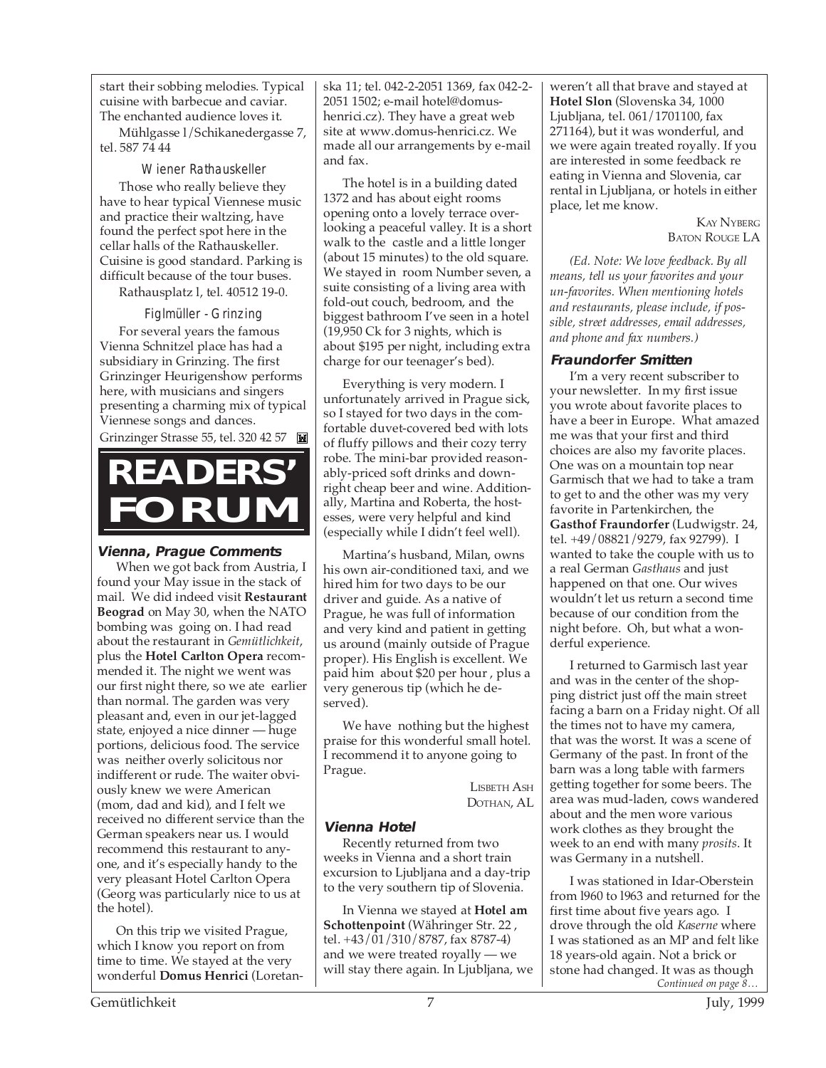start their sobbing melodies. Typical cuisine with barbecue and caviar. The enchanted audience loves it.

Mühlgasse l/Schikanedergasse 7, tel. 587 74 44

Wiener Rathauskeller

Those who really believe they have to hear typical Viennese music and practice their waltzing, have found the perfect spot here in the cellar halls of the Rathauskeller. Cuisine is good standard. Parking is difficult because of the tour buses.

Rathausplatz l, tel. 40512 19-0.

Figlmüller - Grinzing For several years the famous Vienna Schnitzel place has had a subsidiary in Grinzing. The first Grinzinger Heurigenshow performs here, with musicians and singers presenting a charming mix of typical Viennese songs and dances.

Grinzinger Strasse 55, tel. 320 42 57

# **READERS' FORUM**

#### **Vienna, Prague Comments**

When we got back from Austria, I found your May issue in the stack of mail. We did indeed visit **Restaurant Beograd** on May 30, when the NATO bombing was going on. I had read about the restaurant in *Gemütlichkeit*, plus the **Hotel Carlton Opera** recommended it. The night we went was our first night there, so we ate earlier than normal. The garden was very pleasant and, even in our jet-lagged state, enjoyed a nice dinner — huge portions, delicious food. The service was neither overly solicitous nor indifferent or rude. The waiter obviously knew we were American (mom, dad and kid), and I felt we received no different service than the German speakers near us. I would recommend this restaurant to anyone, and it's especially handy to the very pleasant Hotel Carlton Opera (Georg was particularly nice to us at the hotel).

On this trip we visited Prague, which I know you report on from time to time. We stayed at the very wonderful **Domus Henrici** (Loretanska 11; tel. 042-2-2051 1369, fax 042-2- 2051 1502; e-mail hotel@domushenrici.cz). They have a great web site at www.domus-henrici.cz. We made all our arrangements by e-mail and fax.

The hotel is in a building dated 1372 and has about eight rooms opening onto a lovely terrace overlooking a peaceful valley. It is a short walk to the castle and a little longer (about 15 minutes) to the old square. We stayed in room Number seven, a suite consisting of a living area with fold-out couch, bedroom, and the biggest bathroom I've seen in a hotel (19,950 Ck for 3 nights, which is about \$195 per night, including extra charge for our teenager's bed).

Everything is very modern. I unfortunately arrived in Prague sick, so I stayed for two days in the comfortable duvet-covered bed with lots of fluffy pillows and their cozy terry robe. The mini-bar provided reasonably-priced soft drinks and downright cheap beer and wine. Additionally, Martina and Roberta, the hostesses, were very helpful and kind (especially while I didn't feel well).

Martina's husband, Milan, owns his own air-conditioned taxi, and we hired him for two days to be our driver and guide. As a native of Prague, he was full of information and very kind and patient in getting us around (mainly outside of Prague proper). His English is excellent. We paid him about \$20 per hour , plus a very generous tip (which he deserved).

We have nothing but the highest praise for this wonderful small hotel. I recommend it to anyone going to Prague.

> LISBETH ASH DOTHAN, AL

#### **Vienna Hotel**

Recently returned from two weeks in Vienna and a short train excursion to Ljubljana and a day-trip to the very southern tip of Slovenia.

In Vienna we stayed at **Hotel am Schottenpoint** (Währinger Str. 22 , tel. +43/01/310/8787, fax 8787-4) and we were treated royally — we will stay there again. In Ljubljana, we

weren't all that brave and stayed at **Hotel Slon** (Slovenska 34, 1000 Ljubljana, tel. 061/1701100, fax 271164), but it was wonderful, and we were again treated royally. If you are interested in some feedback re eating in Vienna and Slovenia, car rental in Ljubljana, or hotels in either place, let me know.

> KAY NYBERG BATON ROUGE LA

*(Ed. Note: We love feedback. By all means, tell us your favorites and your un-favorites. When mentioning hotels and restaurants, please include, if possible, street addresses, email addresses, and phone and fax numbers.)*

#### **Fraundorfer Smitten**

I'm a very recent subscriber to your newsletter. In my first issue you wrote about favorite places to have a beer in Europe. What amazed me was that your first and third choices are also my favorite places. One was on a mountain top near Garmisch that we had to take a tram to get to and the other was my very favorite in Partenkirchen, the **Gasthof Fraundorfer** (Ludwigstr. 24, tel. +49/08821/9279, fax 92799). I wanted to take the couple with us to a real German *Gasthaus* and just happened on that one. Our wives wouldn't let us return a second time because of our condition from the night before. Oh, but what a wonderful experience.

I returned to Garmisch last year and was in the center of the shopping district just off the main street facing a barn on a Friday night. Of all the times not to have my camera, that was the worst. It was a scene of Germany of the past. In front of the barn was a long table with farmers getting together for some beers. The area was mud-laden, cows wandered about and the men wore various work clothes as they brought the week to an end with many *prosits*. It was Germany in a nutshell.

I was stationed in Idar-Oberstein from l960 to l963 and returned for the first time about five years ago. I drove through the old *Kaserne* where I was stationed as an MP and felt like 18 years-old again. Not a brick or stone had changed. It was as though *Continued on page 8…*